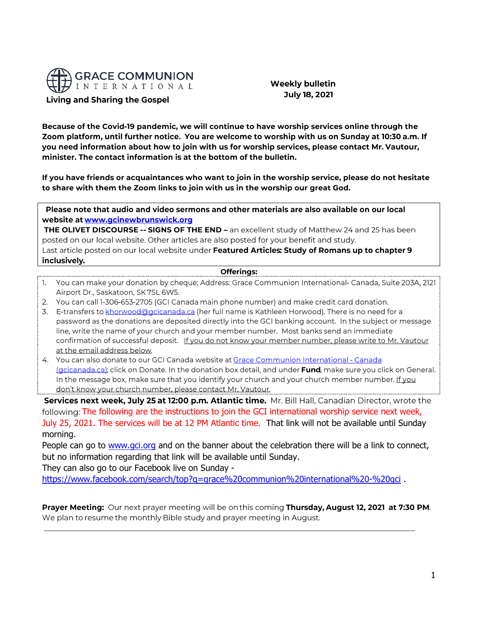

**Weekly bulletin July 18, 2021** 

Because of the Covid-19 pandemic, we will continue to have worship services online through the Zoom platform, until further notice. You are welcome to worship with us on Sunday at 10:30 a.m. If you need information about how to join with us for worship services, please contact Mr. Vautour, minister. The contact information is at the bottom of the bulletin.

If you have friends or acquaintances who want to join in the worship service, please do not hesitate to share with them the Zoom links to join with us in the worship our great God.

Please note that audio and video sermons and other materials are also available on our local website at www.gcinewbrunswick.org

THE OLIVET DISCOURSE -- SIGNS OF THE END - an excellent study of Matthew 24 and 25 has been posted on our local website. Other articles are also posted for your benefit and study. Last article posted on our local website under Featured Articles: Study of Romans up to chapter 9 inclusively.

**Offerings:** 

- 1. You can make your donation by cheque; Address: Grace Communion International- Canada, Suite 203A, 2121 Airport Dr., Saskatoon, SK 7SL 6W5.
- 2. You can call 1-306-653-2705 (GCI Canada main phone number) and make credit card donation.
- 3. E-transfers to khorwood@gcicanada.ca (her full name is Kathleen Horwood). There is no need for a password as the donations are deposited directly into the GCI banking account. In the subject or message line, write the name of your church and your member number. Most banks send an immediate confirmation of successful deposit. If you do not know your member number, please write to Mr. Vautour at the email address below.
- 4. You can also donate to our GCI Canada website at Grace Communion International Canada (gcicanada.ca); click on Donate. In the donation box detail, and under Fund, make sure you click on General. In the message box, make sure that you identify your church and your church member number. If you don't know your church number, please contact Mr. Vautour.

Services next week, July 25 at 12:00 p.m. Atlantic time. Mr. Bill Hall, Canadian Director, wrote the following: The following are the instructions to join the GCI international worship service next week, July 25, 2021. The services will be at 12 PM Atlantic time. That link will not be available until Sunday morning.

People can go to [www.gci.org](https://na01.safelinks.protection.outlook.com/?url=http%3A%2F%2Fwww.gci.org%2F&data=04%7C01%7C%7C363ea37b36e546640eb908d94809e66c%7C84df9e7fe9f640afb435aaaaaaaaaaaa%7C1%7C0%7C637620029624611823%7CUnknown%7CTWFpbGZsb3d8eyJWIjoiMC4wLjAwMDAiLCJQIjoiV2luMzIiLCJBTiI6Ik1haWwiLCJXVCI6Mn0%3D%7C1000&sdata=cKDO6mBYpLdmF0Kr3fPX4CvhNfKDjP38l0maICeUc78%3D&reserved=0) and on the banner about the celebration there will be a link to connect, but no information regarding that link will be available until Sunday.

They can also go to our Facebook live on Sunday -

<https://www.facebook.com/search/top?q=grace%20communion%20international%20-%20gci> .

Prayer Meeting: Our next prayer meeting will be on this coming Thursday, August 12, 2021 at 7:30 PM. We plan to resume the monthly Bible study and prayer meeting in August.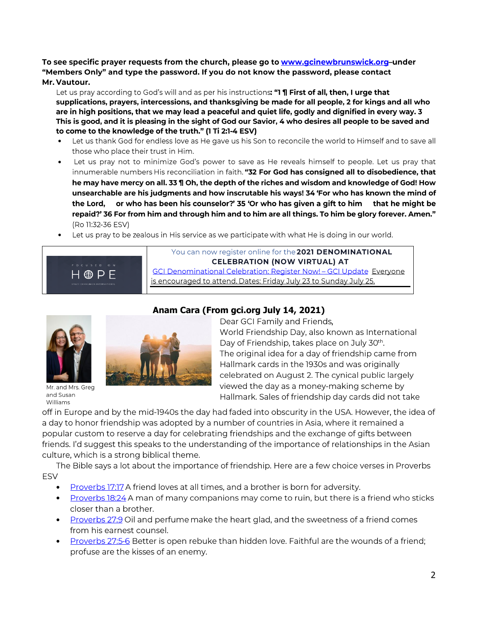To see specific prayer requests from the church, please go to www.gcinewbrunswick.org-under "Members Only" and type the password. If you do not know the password, please contact

#### Mr. Vautour.

Let us pray according to God's will and as per his instructions: "1 ¶ First of all, then, I urge that supplications, prayers, intercessions, and thanksgiving be made for all people, 2 for kings and all who are in high positions, that we may lead a peaceful and quiet life, godly and dignified in every way. 3 This is good, and it is pleasing in the sight of God our Savior, 4 who desires all people to be saved and to come to the knowledge of the truth." (1 Ti 2:1-4 ESV)

- Let us thank God for endless love as He gave us his Son to reconcile the world to Himself and to save all • those who place their trust in Him.
- Let us pray not to minimize God's power to save as He reveals himself to people. Let us pray that innumerable numbers His reconciliation in faith. "32 For God has consigned all to disobedience, that he may have mercy on all. 33 ¶ Oh, the depth of the riches and wisdom and knowledge of God! How unsearchable are his judgments and how inscrutable his ways! 34 'For who has known the mind of the Lord, or who has been his counselor?' 35 'Or who has given a gift to him that he might be repaid?' 36 For from him and through him and to him are all things. To him be glory forever. Amen." (Ro 11:32-36 ESV)
- Let us pray to be zealous in His service as we participate with what He is doing in our world.



You can now register online for the 2021 DENOMINATIONAL **CELEBRATION (NOW VIRTUAL) AT** GCI Denominational Celebration: Register Now! - GCI Update Everyone is encouraged to attend. Dates: Friday July 23 to Sunday July 25.



Mr. and Mrs. Greg and Susan Williams



## **Anam Cara (From gci.org July 14, 2021)**

Dear GCI Family and Friends, World Friendship Day, also known as International Day of Friendship, takes place on July 30<sup>th</sup>. The original idea for a day of friendship came from Hallmark cards in the 1930s and was originally celebrated on August 2. The cynical public largely viewed the day as a money-making scheme by Hallmark. Sales of friendship day cards did not take

off in Europe and by the mid-1940s the day had faded into obscurity in the USA. However, the idea of a day to honor friendship was adopted by a number of countries in Asia, where it remained a popular custom to reserve a day for celebrating friendships and the exchange of gifts between friends. I'd suggest this speaks to the understanding of the importance of relationships in the Asian culture, which is a strong biblical theme.

The Bible says a lot about the importance of friendship. Here are a few choice verses in Proverbs **ESV** 

- $\bullet$ **Proverbs 17:17 A friend loves at all times, and a brother is born for adversity.**
- Proverbs 18:24 A man of many companions may come to ruin, but there is a friend who sticks • closer than a brother.
- Proverbs 27:9 Oil and perfume make the heart glad, and the sweetness of a friend comes • from his earnest counsel.
- Proverbs 27:5-6 Better is open rebuke than hidden love. Faithful are the wounds of a friend; •profuse are the kisses of an enemy.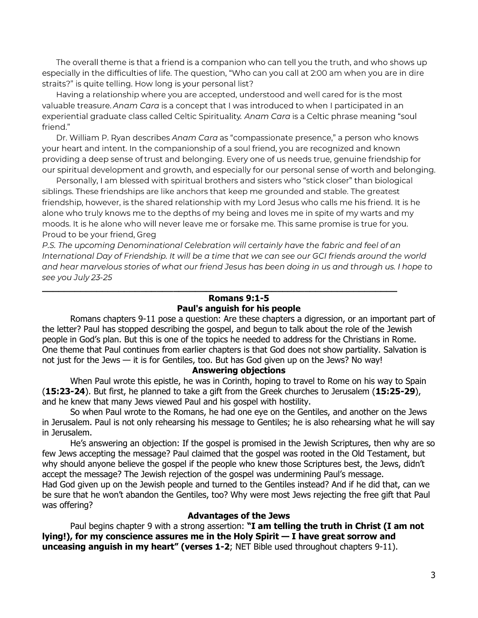The overall theme is that a friend is a companion who can tell you the truth, and who shows up especially in the difficulties of life. The question, "Who can you call at 2:00 am when you are in dire straits?" is quite telling. How long is your personal list?

Having a relationship where you are accepted, understood and well cared for is the most valuable treasure. Anam Cara is a concept that I was introduced to when I participated in an experiential graduate class called Celtic Spirituality. Anam Cara is a Celtic phrase meaning "soul friend."

Dr. William P. Ryan describes Anam Cara as "compassionate presence," a person who knows your heart and intent. In the companionship of a soul friend, you are recognized and known providing a deep sense of trust and belonging. Every one of us needs true, genuine friendship for our spiritual development and growth, and especially for our personal sense of worth and belonging.

Personally, I am blessed with spiritual brothers and sisters who "stick closer" than biological siblings. These friendships are like anchors that keep me grounded and stable. The greatest friendship, however, is the shared relationship with my Lord Jesus who calls me his friend. It is he alone who truly knows me to the depths of my being and loves me in spite of my warts and my moods. It is he alone who will never leave me or forsake me. This same promise is true for you. Proud to be your friend, Greg

P.S. The upcoming Denominational Celebration will certainly have the fabric and feel of an International Day of Friendship. It will be a time that we can see our GCI friends around the world and hear marvelous stories of what our friend Jesus has been doing in us and through us. I hope to see you July 23-25

**\_\_\_\_\_\_\_\_\_\_\_\_\_\_\_\_\_\_\_\_\_\_\_\_\_\_\_\_\_\_\_\_\_\_\_\_\_\_\_\_\_\_\_\_\_\_\_\_\_\_\_\_\_\_\_\_\_\_\_\_\_\_\_\_\_**

## **Romans 9:1-5 Paul's anguish for his people**

Romans chapters 9-11 pose a question: Are these chapters a digression, or an important part of the letter? Paul has stopped describing the gospel, and begun to talk about the role of the Jewish people in God's plan. But this is one of the topics he needed to address for the Christians in Rome. One theme that Paul continues from earlier chapters is that God does not show partiality. Salvation is not just for the Jews — it is for Gentiles, too. But has God given up on the Jews? No way!

#### **Answering objections**

When Paul wrote this epistle, he was in Corinth, hoping to travel to Rome on his way to Spain (**15:23-24**). But first, he planned to take a gift from the Greek churches to Jerusalem (**15:25-29**), and he knew that many Jews viewed Paul and his gospel with hostility.

So when Paul wrote to the Romans, he had one eye on the Gentiles, and another on the Jews in Jerusalem. Paul is not only rehearsing his message to Gentiles; he is also rehearsing what he will say in Jerusalem.

He's answering an objection: If the gospel is promised in the Jewish Scriptures, then why are so few Jews accepting the message? Paul claimed that the gospel was rooted in the Old Testament, but why should anyone believe the gospel if the people who knew those Scriptures best, the Jews, didn't accept the message? The Jewish rejection of the gospel was undermining Paul's message. Had God given up on the Jewish people and turned to the Gentiles instead? And if he did that, can we be sure that he won't abandon the Gentiles, too? Why were most Jews rejecting the free gift that Paul was offering?

#### **Advantages of the Jews**

Paul begins chapter 9 with a strong assertion: **"I am telling the truth in Christ (I am not lying!), for my conscience assures me in the Holy Spirit — I have great sorrow and unceasing anguish in my heart" (verses 1-2**; NET Bible used throughout chapters 9-11).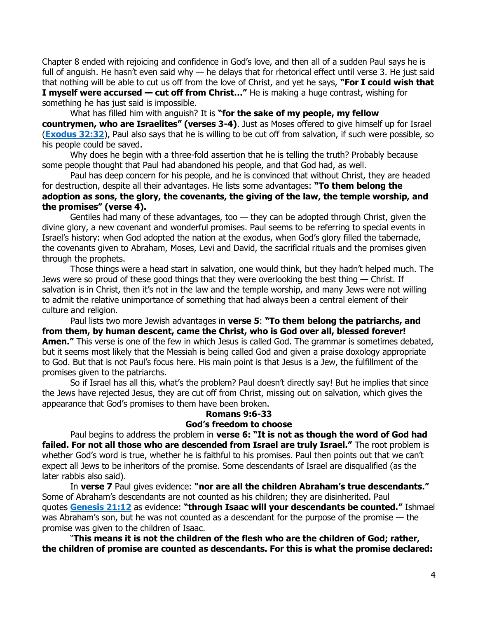Chapter 8 ended with rejoicing and confidence in God's love, and then all of a sudden Paul says he is full of anguish. He hasn't even said why — he delays that for rhetorical effect until verse 3. He just said that nothing will be able to cut us off from the love of Christ, and yet he says, **"For I could wish that I myself were accursed — cut off from Christ…"** He is making a huge contrast, wishing for something he has just said is impossible.

What has filled him with anguish? It is **"for the sake of my people, my fellow countrymen, who are Israelites" (verses 3-4)**. Just as Moses offered to give himself up for Israel (**[Exodus 32:32](https://biblia.com/bible/niv/Exod%2032.32)**), Paul also says that he is willing to be cut off from salvation, if such were possible, so his people could be saved.

Why does he begin with a three-fold assertion that he is telling the truth? Probably because some people thought that Paul had abandoned his people, and that God had, as well.

Paul has deep concern for his people, and he is convinced that without Christ, they are headed for destruction, despite all their advantages. He lists some advantages: **"To them belong the adoption as sons, the glory, the covenants, the giving of the law, the temple worship, and the promises" (verse 4).**

Gentiles had many of these advantages, too  $-$  they can be adopted through Christ, given the divine glory, a new covenant and wonderful promises. Paul seems to be referring to special events in Israel's history: when God adopted the nation at the exodus, when God's glory filled the tabernacle, the covenants given to Abraham, Moses, Levi and David, the sacrificial rituals and the promises given through the prophets.

Those things were a head start in salvation, one would think, but they hadn't helped much. The Jews were so proud of these good things that they were overlooking the best thing — Christ. If salvation is in Christ, then it's not in the law and the temple worship, and many Jews were not willing to admit the relative unimportance of something that had always been a central element of their culture and religion.

Paul lists two more Jewish advantages in **verse 5**: **"To them belong the patriarchs, and from them, by human descent, came the Christ, who is God over all, blessed forever! Amen."** This verse is one of the few in which Jesus is called God. The grammar is sometimes debated, but it seems most likely that the Messiah is being called God and given a praise doxology appropriate to God. But that is not Paul's focus here. His main point is that Jesus is a Jew, the fulfillment of the promises given to the patriarchs.

So if Israel has all this, what's the problem? Paul doesn't directly say! But he implies that since the Jews have rejected Jesus, they are cut off from Christ, missing out on salvation, which gives the appearance that God's promises to them have been broken.

# **Romans 9:6-33 God's freedom to choose**

Paul begins to address the problem in **verse 6: "It is not as though the word of God had failed. For not all those who are descended from Israel are truly Israel."** The root problem is whether God's word is true, whether he is faithful to his promises. Paul then points out that we can't expect all Jews to be inheritors of the promise. Some descendants of Israel are disqualified (as the later rabbis also said).

In **verse 7** Paul gives evidence: **"nor are all the children Abraham's true descendants."** Some of Abraham's descendants are not counted as his children; they are disinherited. Paul quotes **[Genesis 21:12](https://biblia.com/bible/niv/Gen%2021.12)** as evidence: **"through Isaac will your descendants be counted."** Ishmael was Abraham's son, but he was not counted as a descendant for the purpose of the promise — the promise was given to the children of Isaac.

"**This means it is not the children of the flesh who are the children of God; rather, the children of promise are counted as descendants. For this is what the promise declared:**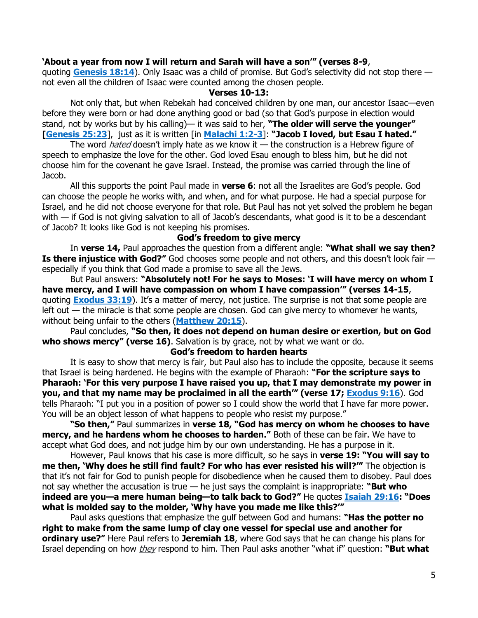### **'About a year from now I will return and Sarah will have a son'" (verses 8-9**,

quoting **[Genesis 18:14](https://biblia.com/bible/niv/Gen%2018.14)**). Only Isaac was a child of promise. But God's selectivity did not stop there not even all the children of Isaac were counted among the chosen people.

#### **Verses 10-13:**

Not only that, but when Rebekah had conceived children by one man, our ancestor Isaac—even before they were born or had done anything good or bad (so that God's purpose in election would stand, not by works but by his calling)— it was said to her, **"The older will serve the younger" [\[Genesis 25:23](https://biblia.com/bible/niv/Gen%2025.23)**], just as it is written [in **[Malachi 1:2-3](https://biblia.com/bible/niv/Mal%201.2-3)**]: **"Jacob I loved, but Esau I hated."**

The word *hated* doesn't imply hate as we know it  $-$  the construction is a Hebrew figure of speech to emphasize the love for the other. God loved Esau enough to bless him, but he did not choose him for the covenant he gave Israel. Instead, the promise was carried through the line of Jacob.

All this supports the point Paul made in **verse 6**: not all the Israelites are God's people. God can choose the people he works with, and when, and for what purpose. He had a special purpose for Israel, and he did not choose everyone for that role. But Paul has not yet solved the problem he began with — if God is not giving salvation to all of Jacob's descendants, what good is it to be a descendant of Jacob? It looks like God is not keeping his promises.

#### **God's freedom to give mercy**

In **verse 14,** Paul approaches the question from a different angle: **"What shall we say then? Is there injustice with God?"** God chooses some people and not others, and this doesn't look fair especially if you think that God made a promise to save all the Jews.

But Paul answers: **"Absolutely not! For he says to Moses: 'I will have mercy on whom I have mercy, and I will have compassion on whom I have compassion'" (verses 14-15**, quoting **[Exodus 33:19](https://biblia.com/bible/niv/Exod%2033.19)**). It's a matter of mercy, not justice. The surprise is not that some people are left out — the miracle is that some people are chosen. God can give mercy to whomever he wants, without being unfair to the others (**[Matthew 20:15](https://biblia.com/bible/niv/Matt%2020.15)**).

Paul concludes, **"So then, it does not depend on human desire or exertion, but on God who shows mercy" (verse 16)**. Salvation is by grace, not by what we want or do.

#### **God's freedom to harden hearts**

It is easy to show that mercy is fair, but Paul also has to include the opposite, because it seems that Israel is being hardened. He begins with the example of Pharaoh: **"For the scripture says to Pharaoh: 'For this very purpose I have raised you up, that I may demonstrate my power in you, and that my name may be proclaimed in all the earth'" (verse 17; [Exodus 9:16](https://biblia.com/bible/niv/Exod%209.16)**). God tells Pharaoh: "I put you in a position of power so I could show the world that I have far more power. You will be an object lesson of what happens to people who resist my purpose."

**"So then,"** Paul summarizes in **verse 18, "God has mercy on whom he chooses to have mercy, and he hardens whom he chooses to harden."** Both of these can be fair. We have to accept what God does, and not judge him by our own understanding. He has a purpose in it.

However, Paul knows that his case is more difficult, so he says in **verse 19: "You will say to me then, 'Why does he still find fault? For who has ever resisted his will?'"** The objection is that it's not fair for God to punish people for disobedience when he caused them to disobey. Paul does not say whether the accusation is true — he just says the complaint is inappropriate: **"But who indeed are you—a mere human being—to talk back to God?"** He quotes **[Isaiah 29:16](https://biblia.com/bible/niv/Isa%2029.16): "Does what is molded say to the molder, 'Why have you made me like this?'"**

Paul asks questions that emphasize the gulf between God and humans: **"Has the potter no right to make from the same lump of clay one vessel for special use and another for ordinary use?"** Here Paul refers to **Jeremiah 18**, where God says that he can change his plans for Israel depending on how they respond to him. Then Paul asks another "what if" question: **"But what**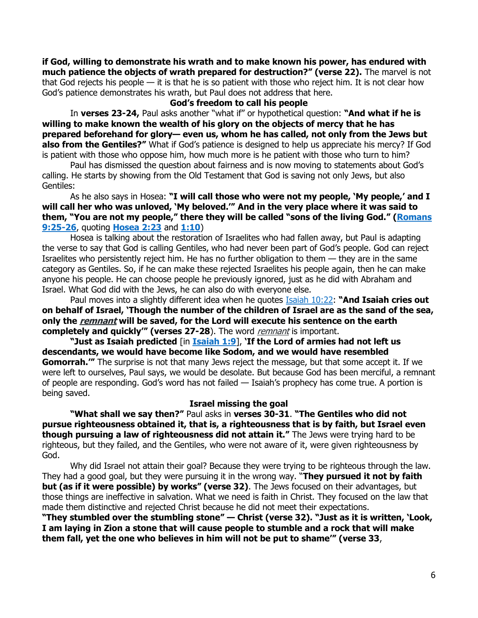**if God, willing to demonstrate his wrath and to make known his power, has endured with much patience the objects of wrath prepared for destruction?" (verse 22).** The marvel is not that God rejects his people — it is that he is so patient with those who reject him. It is not clear how God's patience demonstrates his wrath, but Paul does not address that here.

#### **God's freedom to call his people**

In **verses 23-24,** Paul asks another "what if" or hypothetical question: **"And what if he is willing to make known the wealth of his glory on the objects of mercy that he has prepared beforehand for glory— even us, whom he has called, not only from the Jews but also from the Gentiles?"** What if God's patience is designed to help us appreciate his mercy? If God is patient with those who oppose him, how much more is he patient with those who turn to him?

Paul has dismissed the question about fairness and is now moving to statements about God's calling. He starts by showing from the Old Testament that God is saving not only Jews, but also Gentiles:

As he also says in Hosea: **"I will call those who were not my people, 'My people,' and I will call her who was unloved, 'My beloved.'" And in the very place where it was said to them, "You are not my people," there they will be called "sons of the living God." ([Romans](https://biblia.com/bible/niv/Rom%209.25-26)  [9:25-26](https://biblia.com/bible/niv/Rom%209.25-26)**, quoting **[Hosea 2:23](https://biblia.com/bible/niv/Hos%202.23)** and **[1:10](https://biblia.com/bible/niv/Hosea%201.10)**)

Hosea is talking about the restoration of Israelites who had fallen away, but Paul is adapting the verse to say that God is calling Gentiles, who had never been part of God's people. God can reject Israelites who persistently reject him. He has no further obligation to them — they are in the same category as Gentiles. So, if he can make these rejected Israelites his people again, then he can make anyone his people. He can choose people he previously ignored, just as he did with Abraham and Israel. What God did with the Jews, he can also do with everyone else.

Paul moves into a slightly different idea when he quotes [Isaiah 10:22:](https://biblia.com/bible/niv/Isa%2010.22) **"And Isaiah cries out on behalf of Israel, 'Though the number of the children of Israel are as the sand of the sea, only the remnant will be saved, for the Lord will execute his sentence on the earth completely and quickly'" (verses 27-28).** The word *remnant* is important.

**"Just as Isaiah predicted** [in **[Isaiah 1:9](https://biblia.com/bible/niv/Isa%201.9)**], **'If the Lord of armies had not left us descendants, we would have become like Sodom, and we would have resembled Gomorrah.'"** The surprise is not that many Jews reject the message, but that some accept it. If we were left to ourselves, Paul says, we would be desolate. But because God has been merciful, a remnant of people are responding. God's word has not failed — Isaiah's prophecy has come true. A portion is being saved.

#### **Israel missing the goal**

**"What shall we say then?"** Paul asks in **verses 30-31**. **"The Gentiles who did not pursue righteousness obtained it, that is, a righteousness that is by faith, but Israel even though pursuing a law of righteousness did not attain it."** The Jews were trying hard to be righteous, but they failed, and the Gentiles, who were not aware of it, were given righteousness by God.

Why did Israel not attain their goal? Because they were trying to be righteous through the law. They had a good goal, but they were pursuing it in the wrong way. "**They pursued it not by faith but (as if it were possible) by works" (verse 32)**. The Jews focused on their advantages, but those things are ineffective in salvation. What we need is faith in Christ. They focused on the law that made them distinctive and rejected Christ because he did not meet their expectations.

**"They stumbled over the stumbling stone" — Christ (verse 32). "Just as it is written, 'Look, I am laying in Zion a stone that will cause people to stumble and a rock that will make them fall, yet the one who believes in him will not be put to shame'" (verse 33**,